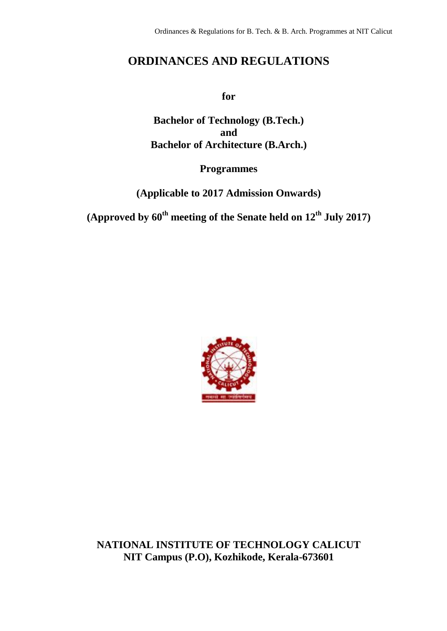# **ORDINANCES AND REGULATIONS**

**for**

**Bachelor of Technology (B.Tech.) and Bachelor of Architecture (B.Arch.)**

# **Programmes**

**(Applicable to 2017 Admission Onwards)**

**(Approved by 60th meeting of the Senate held on 12th July 2017)**



**NATIONAL INSTITUTE OF TECHNOLOGY CALICUT NIT Campus (P.O), Kozhikode, Kerala-673601**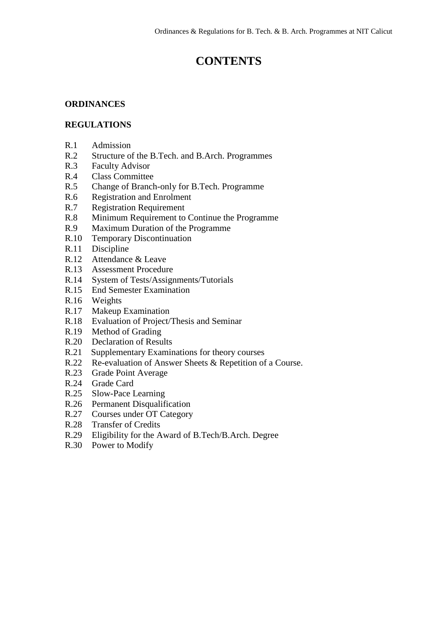# **CONTENTS**

# **ORDINANCES**

### **REGULATIONS**

- R.1 Admission
- R.2 Structure of the B.Tech. and B.Arch. Programmes
- R.3 Faculty Advisor
- R.4 Class Committee
- R.5 Change of Branch-only for B.Tech. Programme
- R.6 Registration and Enrolment
- R.7 Registration Requirement
- R.8 Minimum Requirement to Continue the Programme
- R.9 Maximum Duration of the Programme
- R.10 Temporary Discontinuation<br>R.11 Discipline
- Discipline
- R.12 Attendance & Leave
- R.13 Assessment Procedure
- R.14 System of Tests/Assignments/Tutorials
- R.15 End Semester Examination
- R.16 Weights
- R.17 Makeup Examination
- R.18 Evaluation of Project/Thesis and Seminar
- R.19 Method of Grading
- R.20 Declaration of Results
- R.21 Supplementary Examinations for theory courses
- R.22 Re-evaluation of Answer Sheets & Repetition of a Course.
- R.23 Grade Point Average
- R.24 Grade Card
- R.25 Slow-Pace Learning
- R.26 Permanent Disqualification
- R.27 Courses under OT Category
- R.28 Transfer of Credits
- R.29 Eligibility for the Award of B.Tech/B.Arch. Degree
- R.30 Power to Modify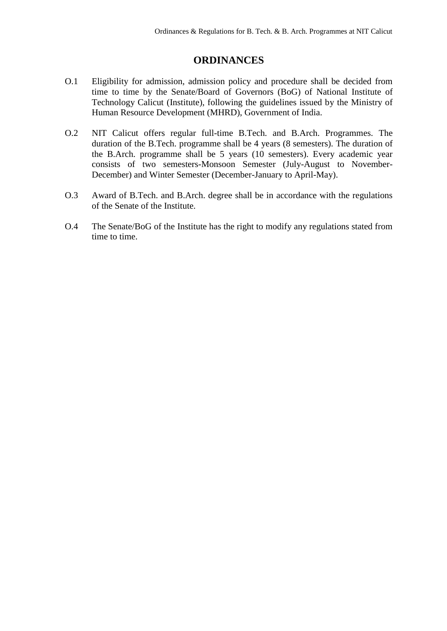# **ORDINANCES**

- O.1 Eligibility for admission, admission policy and procedure shall be decided from time to time by the Senate/Board of Governors (BoG) of National Institute of Technology Calicut (Institute), following the guidelines issued by the Ministry of Human Resource Development (MHRD), Government of India.
- O.2 NIT Calicut offers regular full-time B.Tech. and B.Arch. Programmes. The duration of the B.Tech. programme shall be 4 years (8 semesters). The duration of the B.Arch. programme shall be 5 years (10 semesters). Every academic year consists of two semesters-Monsoon Semester (July-August to November-December) and Winter Semester (December-January to April-May).
- O.3 Award of B.Tech. and B.Arch. degree shall be in accordance with the regulations of the Senate of the Institute.
- O.4 The Senate/BoG of the Institute has the right to modify any regulations stated from time to time.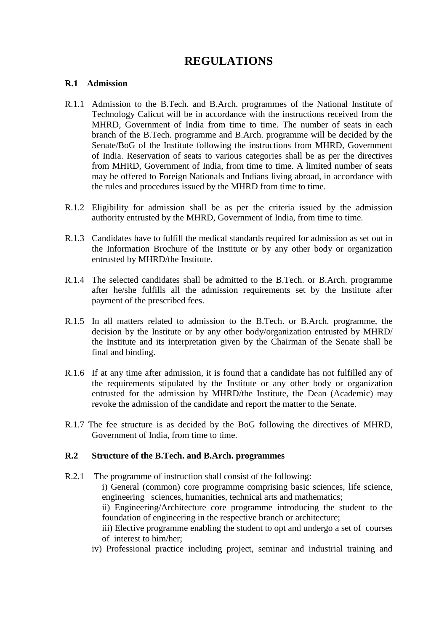# **REGULATIONS**

#### **R.1 Admission**

- R.1.1 Admission to the B.Tech. and B.Arch. programmes of the National Institute of Technology Calicut will be in accordance with the instructions received from the MHRD, Government of India from time to time. The number of seats in each branch of the B.Tech. programme and B.Arch. programme will be decided by the Senate/BoG of the Institute following the instructions from MHRD, Government of India. Reservation of seats to various categories shall be as per the directives from MHRD, Government of India, from time to time. A limited number of seats may be offered to Foreign Nationals and Indians living abroad, in accordance with the rules and procedures issued by the MHRD from time to time.
- R.1.2 Eligibility for admission shall be as per the criteria issued by the admission authority entrusted by the MHRD, Government of India, from time to time.
- R.1.3 Candidates have to fulfill the medical standards required for admission as set out in the Information Brochure of the Institute or by any other body or organization entrusted by MHRD/the Institute.
- R.1.4 The selected candidates shall be admitted to the B.Tech. or B.Arch. programme after he/she fulfills all the admission requirements set by the Institute after payment of the prescribed fees.
- R.1.5 In all matters related to admission to the B.Tech. or B.Arch. programme, the decision by the Institute or by any other body/organization entrusted by MHRD/ the Institute and its interpretation given by the Chairman of the Senate shall be final and binding.
- R.1.6 If at any time after admission, it is found that a candidate has not fulfilled any of the requirements stipulated by the Institute or any other body or organization entrusted for the admission by MHRD/the Institute, the Dean (Academic) may revoke the admission of the candidate and report the matter to the Senate.
- R.1.7 The fee structure is as decided by the BoG following the directives of MHRD, Government of India, from time to time.

#### **R.2 Structure of the B.Tech. and B.Arch. programmes**

- R.2.1 The programme of instruction shall consist of the following:
	- i) General (common) core programme comprising basic sciences, life science, engineering sciences, humanities, technical arts and mathematics;
	- ii) Engineering/Architecture core programme introducing the student to the foundation of engineering in the respective branch or architecture;
	- iii) Elective programme enabling the student to opt and undergo a set of courses of interest to him/her;
	- iv) Professional practice including project, seminar and industrial training and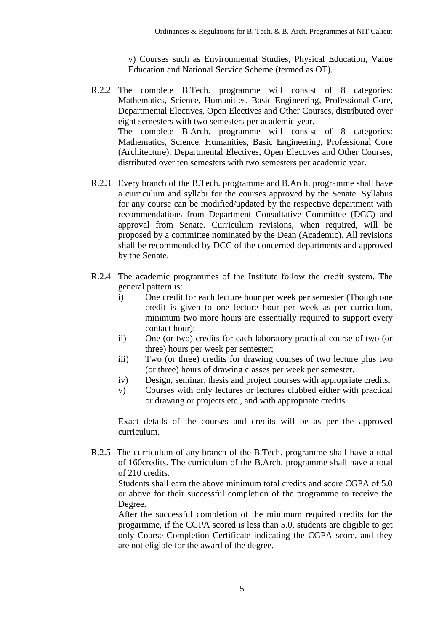v) Courses such as Environmental Studies, Physical Education, Value Education and National Service Scheme (termed as OT).

- R.2.2 The complete B.Tech. programme will consist of 8 categories: Mathematics, Science, Humanities, Basic Engineering, Professional Core, Departmental Electives, Open Electives and Other Courses, distributed over eight semesters with two semesters per academic year. The complete B.Arch. programme will consist of 8 categories: Mathematics, Science, Humanities, Basic Engineering, Professional Core (Architecture), Departmental Electives, Open Electives and Other Courses, distributed over ten semesters with two semesters per academic year.
- R.2.3 Every branch of the B.Tech. programme and B.Arch. programme shall have a curriculum and syllabi for the courses approved by the Senate. Syllabus for any course can be modified/updated by the respective department with recommendations from Department Consultative Committee (DCC) and approval from Senate. Curriculum revisions, when required, will be proposed by a committee nominated by the Dean (Academic). All revisions shall be recommended by DCC of the concerned departments and approved by the Senate.
- R.2.4 The academic programmes of the Institute follow the credit system. The general pattern is:
	- i) One credit for each lecture hour per week per semester (Though one credit is given to one lecture hour per week as per curriculum, minimum two more hours are essentially required to support every contact hour);
	- ii) One (or two) credits for each laboratory practical course of two (or three) hours per week per semester;
	- iii) Two (or three) credits for drawing courses of two lecture plus two (or three) hours of drawing classes per week per semester.
	- iv) Design, seminar, thesis and project courses with appropriate credits.
	- v) Courses with only lectures or lectures clubbed either with practical or drawing or projects etc., and with appropriate credits.

Exact details of the courses and credits will be as per the approved curriculum.

R.2.5 The curriculum of any branch of the B.Tech. programme shall have a total of 160credits. The curriculum of the B.Arch. programme shall have a total of 210 credits.

Students shall earn the above minimum total credits and score CGPA of 5.0 or above for their successful completion of the programme to receive the Degree.

After the successful completion of the minimum required credits for the progarmme, if the CGPA scored is less than 5.0, students are eligible to get only Course Completion Certificate indicating the CGPA score, and they are not eligible for the award of the degree.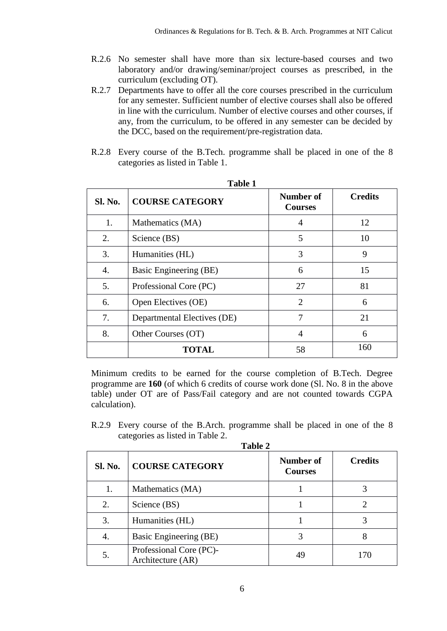- R.2.6 No semester shall have more than six lecture-based courses and two laboratory and/or drawing/seminar/project courses as prescribed, in the curriculum (excluding OT).
- R.2.7 Departments have to offer all the core courses prescribed in the curriculum for any semester. Sufficient number of elective courses shall also be offered in line with the curriculum. Number of elective courses and other courses, if any, from the curriculum, to be offered in any semester can be decided by the DCC, based on the requirement/pre-registration data.
- R.2.8 Every course of the B.Tech. programme shall be placed in one of the 8 categories as listed in Table 1.

| <b>Sl. No.</b> | <b>COURSE CATEGORY</b>      | Number of<br><b>Courses</b> | <b>Credits</b> |  |  |
|----------------|-----------------------------|-----------------------------|----------------|--|--|
| 1.             | Mathematics (MA)            | 4                           | 12             |  |  |
| 2.             | Science (BS)                | 5                           | 10             |  |  |
| 3.             | Humanities (HL)             | 3                           | 9              |  |  |
| 4.             | Basic Engineering (BE)      | 6                           | 15             |  |  |
| 5.             | Professional Core (PC)      | 27                          | 81             |  |  |
| 6.             | Open Electives (OE)         | $\mathcal{D}_{\mathcal{L}}$ | 6              |  |  |
| 7.             | Departmental Electives (DE) | 7                           | 21             |  |  |
| 8.             | Other Courses (OT)          | 4                           | 6              |  |  |
|                | <b>TOTAL</b>                | 58                          | 160            |  |  |

**Table 1**

Minimum credits to be earned for the course completion of B.Tech. Degree programme are **160** (of which 6 credits of course work done (Sl. No. 8 in the above table) under OT are of Pass/Fail category and are not counted towards CGPA calculation).

R.2.9 Every course of the B.Arch. programme shall be placed in one of the 8 categories as listed in Table 2.

| `able |  |
|-------|--|
|-------|--|

| <b>Sl. No.</b> | <b>COURSE CATEGORY</b>                       | Number of<br><b>Courses</b> | <b>Credits</b> |
|----------------|----------------------------------------------|-----------------------------|----------------|
| 1.             | Mathematics (MA)                             |                             |                |
| 2.             | Science (BS)                                 |                             |                |
| 3.             | Humanities (HL)                              |                             |                |
| 4.             | Basic Engineering (BE)                       | 3                           | 8              |
| 5.             | Professional Core (PC)-<br>Architecture (AR) | 49                          | 170            |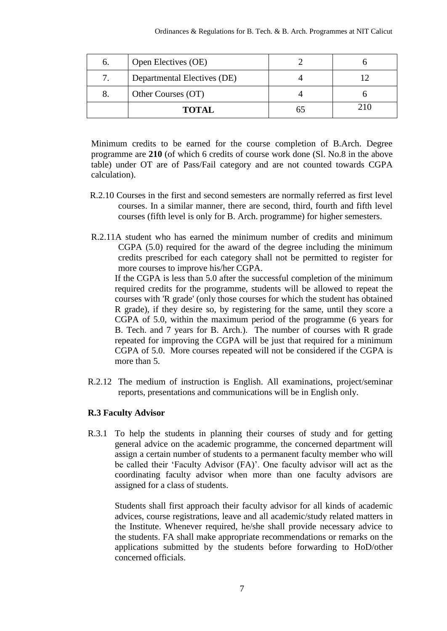| 6. | Open Electives (OE)         |  |
|----|-----------------------------|--|
|    | Departmental Electives (DE) |  |
|    | Other Courses (OT)          |  |
|    | <b>TOTAL</b>                |  |

Minimum credits to be earned for the course completion of B.Arch. Degree programme are **210** (of which 6 credits of course work done (Sl. No.8 in the above table) under OT are of Pass/Fail category and are not counted towards CGPA calculation).

- R.2.10 Courses in the first and second semesters are normally referred as first level courses. In a similar manner, there are second, third, fourth and fifth level courses (fifth level is only for B. Arch. programme) for higher semesters.
- R.2.11A student who has earned the minimum number of credits and minimum CGPA (5.0) required for the award of the degree including the minimum credits prescribed for each category shall not be permitted to register for more courses to improve his/her CGPA.

If the CGPA is less than 5.0 after the successful completion of the minimum required credits for the programme, students will be allowed to repeat the courses with 'R grade' (only those courses for which the student has obtained R grade), if they desire so, by registering for the same, until they score a CGPA of 5.0, within the maximum period of the programme (6 years for B. Tech. and 7 years for B. Arch.). The number of courses with R grade repeated for improving the CGPA will be just that required for a minimum CGPA of 5.0. More courses repeated will not be considered if the CGPA is more than 5.

R.2.12 The medium of instruction is English. All examinations, project/seminar reports, presentations and communications will be in English only.

#### **R.3 Faculty Advisor**

R.3.1 To help the students in planning their courses of study and for getting general advice on the academic programme, the concerned department will assign a certain number of students to a permanent faculty member who will be called their "Faculty Advisor (FA)". One faculty advisor will act as the coordinating faculty advisor when more than one faculty advisors are assigned for a class of students.

Students shall first approach their faculty advisor for all kinds of academic advices, course registrations, leave and all academic/study related matters in the Institute. Whenever required, he/she shall provide necessary advice to the students. FA shall make appropriate recommendations or remarks on the applications submitted by the students before forwarding to HoD/other concerned officials.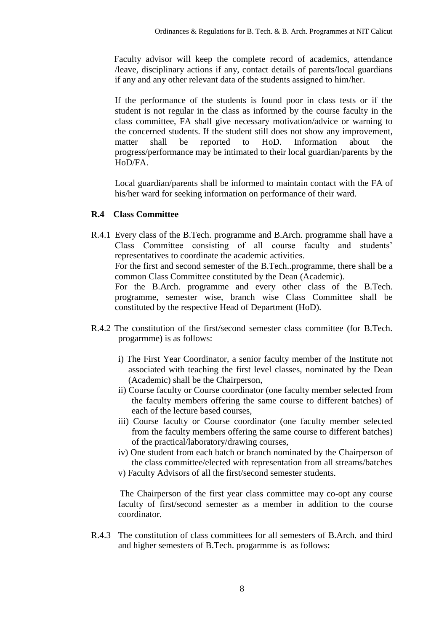Faculty advisor will keep the complete record of academics, attendance /leave, disciplinary actions if any, contact details of parents/local guardians if any and any other relevant data of the students assigned to him/her.

If the performance of the students is found poor in class tests or if the student is not regular in the class as informed by the course faculty in the class committee, FA shall give necessary motivation/advice or warning to the concerned students. If the student still does not show any improvement, matter shall be reported to HoD. Information about the progress/performance may be intimated to their local guardian/parents by the HoD/FA.

Local guardian/parents shall be informed to maintain contact with the FA of his/her ward for seeking information on performance of their ward.

### **R.4 Class Committee**

R.4.1 Every class of the B.Tech. programme and B.Arch. programme shall have a Class Committee consisting of all course faculty and students' representatives to coordinate the academic activities.

For the first and second semester of the B.Tech..programme, there shall be a common Class Committee constituted by the Dean (Academic).

For the B.Arch. programme and every other class of the B.Tech. programme, semester wise, branch wise Class Committee shall be constituted by the respective Head of Department (HoD).

- R.4.2 The constitution of the first/second semester class committee (for B.Tech. progarmme) is as follows:
	- i) The First Year Coordinator, a senior faculty member of the Institute not associated with teaching the first level classes, nominated by the Dean (Academic) shall be the Chairperson,
	- ii) Course faculty or Course coordinator (one faculty member selected from the faculty members offering the same course to different batches) of each of the lecture based courses,
	- iii) Course faculty or Course coordinator (one faculty member selected from the faculty members offering the same course to different batches) of the practical/laboratory/drawing courses,
	- iv) One student from each batch or branch nominated by the Chairperson of the class committee/elected with representation from all streams/batches

v) Faculty Advisors of all the first/second semester students.

The Chairperson of the first year class committee may co-opt any course faculty of first/second semester as a member in addition to the course coordinator.

R.4.3 The constitution of class committees for all semesters of B.Arch. and third and higher semesters of B.Tech. progarmme is as follows: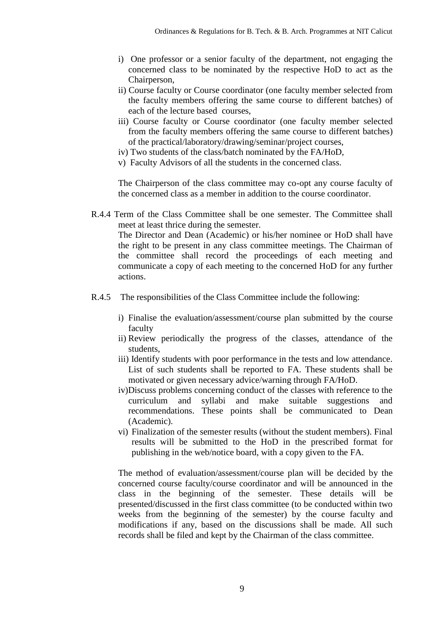- i) One professor or a senior faculty of the department, not engaging the concerned class to be nominated by the respective HoD to act as the Chairperson,
- ii) Course faculty or Course coordinator (one faculty member selected from the faculty members offering the same course to different batches) of each of the lecture based courses,
- iii) Course faculty or Course coordinator (one faculty member selected from the faculty members offering the same course to different batches) of the practical/laboratory/drawing/seminar/project courses,
- iv) Two students of the class/batch nominated by the FA/HoD,
- v) Faculty Advisors of all the students in the concerned class.

The Chairperson of the class committee may co-opt any course faculty of the concerned class as a member in addition to the course coordinator.

R.4.4 Term of the Class Committee shall be one semester. The Committee shall meet at least thrice during the semester.

The Director and Dean (Academic) or his/her nominee or HoD shall have the right to be present in any class committee meetings. The Chairman of the committee shall record the proceedings of each meeting and communicate a copy of each meeting to the concerned HoD for any further actions.

- R.4.5 The responsibilities of the Class Committee include the following:
	- i) Finalise the evaluation/assessment/course plan submitted by the course faculty
	- ii) Review periodically the progress of the classes, attendance of the students,
	- iii) Identify students with poor performance in the tests and low attendance. List of such students shall be reported to FA. These students shall be motivated or given necessary advice/warning through FA/HoD.
	- iv)Discuss problems concerning conduct of the classes with reference to the curriculum and syllabi and make suitable suggestions and recommendations. These points shall be communicated to Dean (Academic).
	- vi) Finalization of the semester results (without the student members). Final results will be submitted to the HoD in the prescribed format for publishing in the web/notice board, with a copy given to the FA.

The method of evaluation/assessment/course plan will be decided by the concerned course faculty/course coordinator and will be announced in the class in the beginning of the semester. These details will be presented/discussed in the first class committee (to be conducted within two weeks from the beginning of the semester) by the course faculty and modifications if any, based on the discussions shall be made. All such records shall be filed and kept by the Chairman of the class committee.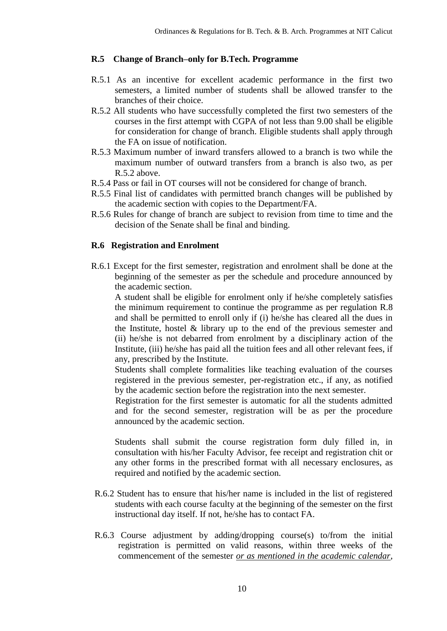#### **R.5 Change of Branch–only for B.Tech. Programme**

- R.5.1 As an incentive for excellent academic performance in the first two semesters, a limited number of students shall be allowed transfer to the branches of their choice.
- R.5.2 All students who have successfully completed the first two semesters of the courses in the first attempt with CGPA of not less than 9.00 shall be eligible for consideration for change of branch. Eligible students shall apply through the FA on issue of notification.
- R.5.3 Maximum number of inward transfers allowed to a branch is two while the maximum number of outward transfers from a branch is also two, as per R.5.2 above.
- R.5.4 Pass or fail in OT courses will not be considered for change of branch.
- R.5.5 Final list of candidates with permitted branch changes will be published by the academic section with copies to the Department/FA.
- R.5.6 Rules for change of branch are subject to revision from time to time and the decision of the Senate shall be final and binding.

#### **R.6 Registration and Enrolment**

R.6.1 Except for the first semester, registration and enrolment shall be done at the beginning of the semester as per the schedule and procedure announced by the academic section.

A student shall be eligible for enrolment only if he/she completely satisfies the minimum requirement to continue the programme as per regulation R.8 and shall be permitted to enroll only if (i) he/she has cleared all the dues in the Institute, hostel & library up to the end of the previous semester and (ii) he/she is not debarred from enrolment by a disciplinary action of the Institute, (iii) he/she has paid all the tuition fees and all other relevant fees, if any, prescribed by the Institute.

Students shall complete formalities like teaching evaluation of the courses registered in the previous semester, per-registration etc., if any, as notified by the academic section before the registration into the next semester.

Registration for the first semester is automatic for all the students admitted and for the second semester, registration will be as per the procedure announced by the academic section.

Students shall submit the course registration form duly filled in, in consultation with his/her Faculty Advisor, fee receipt and registration chit or any other forms in the prescribed format with all necessary enclosures, as required and notified by the academic section.

- R.6.2 Student has to ensure that his/her name is included in the list of registered students with each course faculty at the beginning of the semester on the first instructional day itself. If not, he/she has to contact FA.
- R.6.3 Course adjustment by adding/dropping course(s) to/from the initial registration is permitted on valid reasons, within three weeks of the commencement of the semester *or as mentioned in the academic calendar*,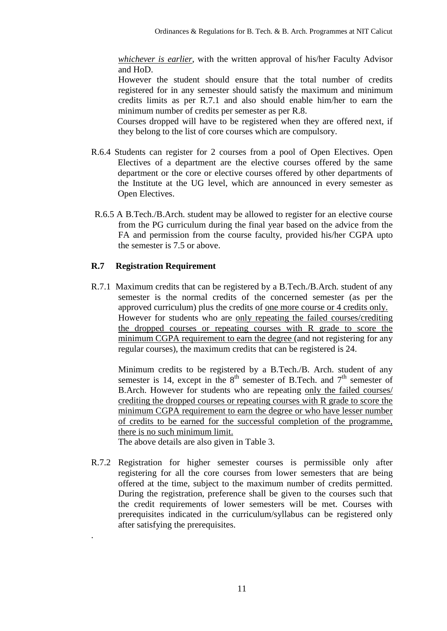*whichever is earlier*, with the written approval of his/her Faculty Advisor and HoD.

However the student should ensure that the total number of credits registered for in any semester should satisfy the maximum and minimum credits limits as per R.7.1 and also should enable him/her to earn the minimum number of credits per semester as per R.8.

Courses dropped will have to be registered when they are offered next, if they belong to the list of core courses which are compulsory.

- R.6.4 Students can register for 2 courses from a pool of Open Electives. Open Electives of a department are the elective courses offered by the same department or the core or elective courses offered by other departments of the Institute at the UG level, which are announced in every semester as Open Electives.
- R.6.5 A B.Tech./B.Arch. student may be allowed to register for an elective course from the PG curriculum during the final year based on the advice from the FA and permission from the course faculty, provided his/her CGPA upto the semester is 7.5 or above.

#### **R.7 Registration Requirement**

.

R.7.1 Maximum credits that can be registered by a B.Tech./B.Arch. student of any semester is the normal credits of the concerned semester (as per the approved curriculum) plus the credits of one more course or 4 credits only. However for students who are only repeating the failed courses/crediting the dropped courses or repeating courses with R grade to score the minimum CGPA requirement to earn the degree (and not registering for any regular courses), the maximum credits that can be registered is 24.

Minimum credits to be registered by a B.Tech./B. Arch. student of any semester is 14, except in the  $8<sup>th</sup>$  semester of B.Tech. and  $7<sup>th</sup>$  semester of B.Arch. However for students who are repeating only the failed courses/ crediting the dropped courses or repeating courses with R grade to score the minimum CGPA requirement to earn the degree or who have lesser number of credits to be earned for the successful completion of the programme, there is no such minimum limit.

The above details are also given in Table 3.

R.7.2 Registration for higher semester courses is permissible only after registering for all the core courses from lower semesters that are being offered at the time, subject to the maximum number of credits permitted. During the registration, preference shall be given to the courses such that the credit requirements of lower semesters will be met. Courses with prerequisites indicated in the curriculum/syllabus can be registered only after satisfying the prerequisites.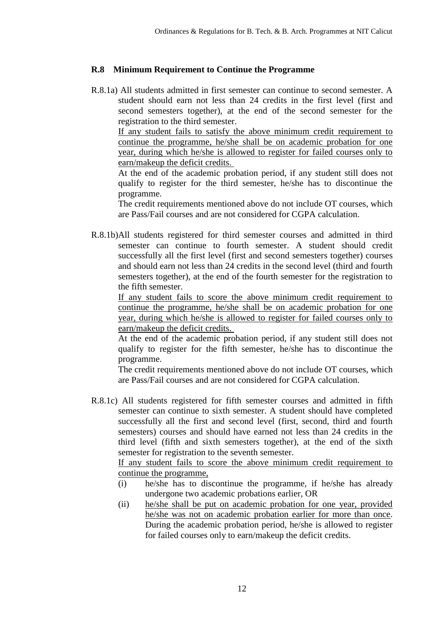#### **R.8 Minimum Requirement to Continue the Programme**

R.8.1a) All students admitted in first semester can continue to second semester. A student should earn not less than 24 credits in the first level (first and second semesters together), at the end of the second semester for the registration to the third semester.

If any student fails to satisfy the above minimum credit requirement to continue the programme, he/she shall be on academic probation for one year, during which he/she is allowed to register for failed courses only to earn/makeup the deficit credits.

At the end of the academic probation period, if any student still does not qualify to register for the third semester, he/she has to discontinue the programme.

The credit requirements mentioned above do not include OT courses, which are Pass/Fail courses and are not considered for CGPA calculation.

R.8.1b)All students registered for third semester courses and admitted in third semester can continue to fourth semester. A student should credit successfully all the first level (first and second semesters together) courses and should earn not less than 24 credits in the second level (third and fourth semesters together), at the end of the fourth semester for the registration to the fifth semester.

If any student fails to score the above minimum credit requirement to continue the programme, he/she shall be on academic probation for one year, during which he/she is allowed to register for failed courses only to earn/makeup the deficit credits.

At the end of the academic probation period, if any student still does not qualify to register for the fifth semester, he/she has to discontinue the programme.

The credit requirements mentioned above do not include OT courses, which are Pass/Fail courses and are not considered for CGPA calculation.

R.8.1c) All students registered for fifth semester courses and admitted in fifth semester can continue to sixth semester. A student should have completed successfully all the first and second level (first, second, third and fourth semesters) courses and should have earned not less than 24 credits in the third level (fifth and sixth semesters together), at the end of the sixth semester for registration to the seventh semester.

If any student fails to score the above minimum credit requirement to continue the programme,

- (i) he/she has to discontinue the programme, if he/she has already undergone two academic probations earlier, OR
- (ii) he/she shall be put on academic probation for one year, provided he/she was not on academic probation earlier for more than once. During the academic probation period, he/she is allowed to register for failed courses only to earn/makeup the deficit credits.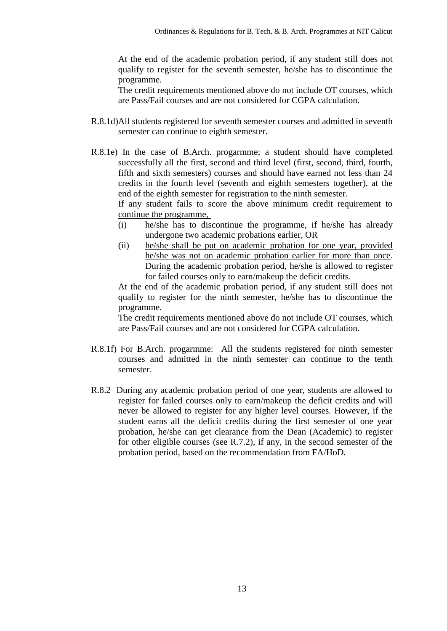At the end of the academic probation period, if any student still does not qualify to register for the seventh semester, he/she has to discontinue the programme.

The credit requirements mentioned above do not include OT courses, which are Pass/Fail courses and are not considered for CGPA calculation.

- R.8.1d)All students registered for seventh semester courses and admitted in seventh semester can continue to eighth semester.
- R.8.1e) In the case of B.Arch. progarmme; a student should have completed successfully all the first, second and third level (first, second, third, fourth, fifth and sixth semesters) courses and should have earned not less than 24 credits in the fourth level (seventh and eighth semesters together), at the end of the eighth semester for registration to the ninth semester.

If any student fails to score the above minimum credit requirement to continue the programme,

- (i) he/she has to discontinue the programme, if he/she has already undergone two academic probations earlier, OR
- (ii) he/she shall be put on academic probation for one year, provided he/she was not on academic probation earlier for more than once. During the academic probation period, he/she is allowed to register for failed courses only to earn/makeup the deficit credits.

At the end of the academic probation period, if any student still does not qualify to register for the ninth semester, he/she has to discontinue the programme.

The credit requirements mentioned above do not include OT courses, which are Pass/Fail courses and are not considered for CGPA calculation.

- R.8.1f) For B.Arch. progarmme: All the students registered for ninth semester courses and admitted in the ninth semester can continue to the tenth semester.
- R.8.2 During any academic probation period of one year, students are allowed to register for failed courses only to earn/makeup the deficit credits and will never be allowed to register for any higher level courses. However, if the student earns all the deficit credits during the first semester of one year probation, he/she can get clearance from the Dean (Academic) to register for other eligible courses (see R.7.2), if any, in the second semester of the probation period, based on the recommendation from FA/HoD.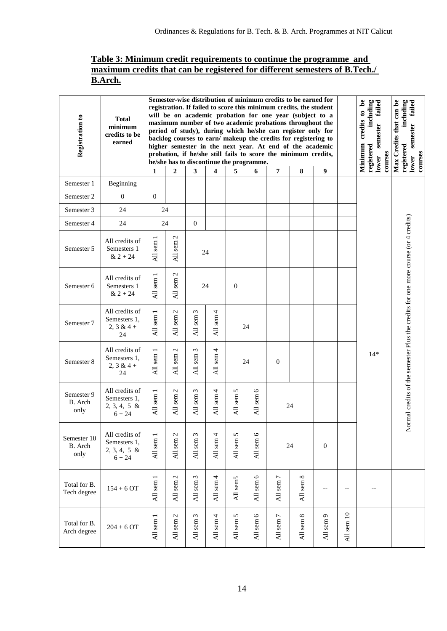## **Table 3: Minimum credit requirements to continue the programme and maximum credits that can be registered for different semesters of B.Tech./ B.Arch.**

| Registration to                | <b>Total</b><br>minimum<br>credits to be<br>earned            |                                                    | Semester-wise distribution of minimum credits to be earned for<br>registration. If failed to score this minimum credits, the student<br>will be on academic probation for one year (subject to a<br>maximum number of two academic probations throughout the<br>period of study), during which he/she can register only for<br>backlog courses to earn/ makeup the credits for registering to<br>higher semester in the next year. At end of the academic<br>probation, if he/she still fails to score the minimum credits,<br>he/she has to discontinue the programme. |                       |                          |                             |                    |                                          |                          | Minimum credits to be<br>including<br>er failed<br>semester<br>registered<br>courses<br>lower | Max Credits that can be<br>ed including<br>semester failed<br>registered<br>courses<br>lower |       |                                                                                    |
|--------------------------------|---------------------------------------------------------------|----------------------------------------------------|-------------------------------------------------------------------------------------------------------------------------------------------------------------------------------------------------------------------------------------------------------------------------------------------------------------------------------------------------------------------------------------------------------------------------------------------------------------------------------------------------------------------------------------------------------------------------|-----------------------|--------------------------|-----------------------------|--------------------|------------------------------------------|--------------------------|-----------------------------------------------------------------------------------------------|----------------------------------------------------------------------------------------------|-------|------------------------------------------------------------------------------------|
|                                |                                                               | 1                                                  | $\overline{2}$                                                                                                                                                                                                                                                                                                                                                                                                                                                                                                                                                          | $\mathbf{3}$          | 4                        | 5                           | 6                  | 7                                        | 8                        | 9                                                                                             |                                                                                              |       |                                                                                    |
| Semester 1                     | Beginning                                                     |                                                    |                                                                                                                                                                                                                                                                                                                                                                                                                                                                                                                                                                         |                       |                          |                             |                    |                                          |                          |                                                                                               |                                                                                              |       |                                                                                    |
| Semester 2                     | $\mathbf{0}$                                                  | $\overline{0}$                                     |                                                                                                                                                                                                                                                                                                                                                                                                                                                                                                                                                                         |                       |                          |                             |                    |                                          |                          |                                                                                               |                                                                                              |       |                                                                                    |
| Semester 3                     | 24                                                            |                                                    | 24                                                                                                                                                                                                                                                                                                                                                                                                                                                                                                                                                                      |                       |                          |                             |                    |                                          |                          |                                                                                               |                                                                                              |       |                                                                                    |
| Semester 4                     | 24                                                            |                                                    | 24                                                                                                                                                                                                                                                                                                                                                                                                                                                                                                                                                                      | $\mathbf{0}$          |                          |                             |                    |                                          |                          |                                                                                               |                                                                                              |       |                                                                                    |
| Semester 5                     | All credits of<br>Semesters 1<br>$& 2 + 24$                   | sem <sub>1</sub><br>$\overline{A}$                 | $\mathcal{L}$<br>All sem                                                                                                                                                                                                                                                                                                                                                                                                                                                                                                                                                |                       | 24                       |                             |                    |                                          |                          |                                                                                               |                                                                                              |       |                                                                                    |
| Semester 6                     | All credits of<br>Semesters 1<br>$& 2 + 24$                   | All sem 1                                          | $\mathcal{L}$<br>All sem                                                                                                                                                                                                                                                                                                                                                                                                                                                                                                                                                |                       | 24                       | $\overline{0}$              |                    |                                          |                          |                                                                                               |                                                                                              |       |                                                                                    |
| Semester 7                     | All credits of<br>Semesters 1,<br>$2, 3 & 4 +$<br>24          | $\overline{\phantom{0}}$<br>All sem                | $\mathcal{L}$<br>All sem?                                                                                                                                                                                                                                                                                                                                                                                                                                                                                                                                               | All sem 3             | All sem 4                |                             | 24                 |                                          |                          |                                                                                               |                                                                                              |       |                                                                                    |
| Semester 8                     | All credits of<br>Semesters 1,<br>2, $3 & 4 +$<br>24          | All sem 1                                          | $\mathcal{L}$<br>All sem                                                                                                                                                                                                                                                                                                                                                                                                                                                                                                                                                | All sem 3             | All sem 4                |                             | 24                 | $\boldsymbol{0}$                         |                          |                                                                                               |                                                                                              | $14*$ | Normal credits of the semester Plus the credits for one more course (or 4 credits) |
| Semester 9<br>B. Arch<br>only  | All credits of<br>Semesters 1,<br>$2, 3, 4, 5 \&$<br>$6 + 24$ | All sem 1                                          | $\mathcal{L}$<br>All sem                                                                                                                                                                                                                                                                                                                                                                                                                                                                                                                                                | All sem 3             | All sem 4                | 5<br>All sem                | All sem 6          |                                          | 24                       |                                                                                               |                                                                                              |       |                                                                                    |
| Semester 10<br>B. Arch<br>only | All credits of<br>Semesters 1,<br>$2, 3, 4, 5 \&$<br>$6 + 24$ | All sem 1                                          | All sem 2                                                                                                                                                                                                                                                                                                                                                                                                                                                                                                                                                               | All sem 3             | All sem 4                | All sem 5                   | All sem 6          |                                          | 24                       | $\boldsymbol{0}$                                                                              |                                                                                              |       |                                                                                    |
| Total for B.<br>Tech degree    | $154 + 6$ OT                                                  | $\overline{\phantom{0}}$<br>sem<br>$\overline{AB}$ | $\mathcal{L}$<br>sem j<br>$\overline{AB}$                                                                                                                                                                                                                                                                                                                                                                                                                                                                                                                               | $\epsilon$<br>All sem | All sem 4                | All sem5                    | 6<br>All sem       | $\overline{ }$<br>sem<br>$\overline{AB}$ | ${}^{\infty}$<br>All sem |                                                                                               | $\overline{\phantom{a}}$                                                                     |       |                                                                                    |
| Total for B.<br>Arch degree    | $204 + 6$ OT                                                  | All sem 1                                          | $\mathcal{L}$<br>All sem                                                                                                                                                                                                                                                                                                                                                                                                                                                                                                                                                | All sem 3             | sem 4<br>$\overline{AB}$ | 5<br>sem<br>$\overline{AB}$ | $\circ$<br>All sem | $\rm sem\,7$<br>$\overline{AB}$          | All sem 8                | $\rm sem\,9$<br>$\overline{AB}$                                                               | All sem 10                                                                                   |       |                                                                                    |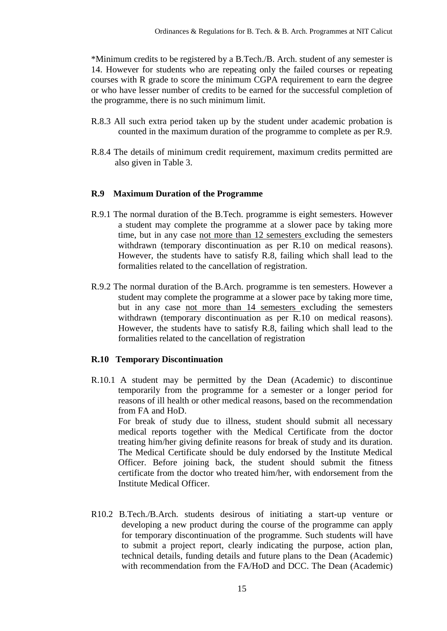\*Minimum credits to be registered by a B.Tech./B. Arch. student of any semester is 14. However for students who are repeating only the failed courses or repeating courses with R grade to score the minimum CGPA requirement to earn the degree or who have lesser number of credits to be earned for the successful completion of the programme, there is no such minimum limit.

- R.8.3 All such extra period taken up by the student under academic probation is counted in the maximum duration of the programme to complete as per R.9.
- R.8.4 The details of minimum credit requirement, maximum credits permitted are also given in Table 3.

### **R.9 Maximum Duration of the Programme**

- R.9.1 The normal duration of the B.Tech. programme is eight semesters. However a student may complete the programme at a slower pace by taking more time, but in any case not more than 12 semesters excluding the semesters withdrawn (temporary discontinuation as per R.10 on medical reasons). However, the students have to satisfy R.8, failing which shall lead to the formalities related to the cancellation of registration.
- R.9.2 The normal duration of the B.Arch. programme is ten semesters. However a student may complete the programme at a slower pace by taking more time, but in any case not more than 14 semesters excluding the semesters withdrawn (temporary discontinuation as per R.10 on medical reasons). However, the students have to satisfy R.8, failing which shall lead to the formalities related to the cancellation of registration

#### **R.10 Temporary Discontinuation**

R.10.1 A student may be permitted by the Dean (Academic) to discontinue temporarily from the programme for a semester or a longer period for reasons of ill health or other medical reasons, based on the recommendation from FA and HoD.

For break of study due to illness, student should submit all necessary medical reports together with the Medical Certificate from the doctor treating him/her giving definite reasons for break of study and its duration. The Medical Certificate should be duly endorsed by the Institute Medical Officer. Before joining back, the student should submit the fitness certificate from the doctor who treated him/her, with endorsement from the Institute Medical Officer.

R10.2 B.Tech./B.Arch. students desirous of initiating a start-up venture or developing a new product during the course of the programme can apply for temporary discontinuation of the programme. Such students will have to submit a project report, clearly indicating the purpose, action plan, technical details, funding details and future plans to the Dean (Academic) with recommendation from the FA/HoD and DCC. The Dean (Academic)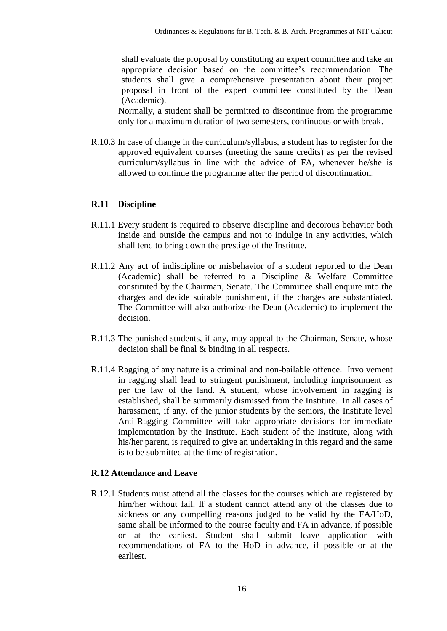shall evaluate the proposal by constituting an expert committee and take an appropriate decision based on the committee"s recommendation. The students shall give a comprehensive presentation about their project proposal in front of the expert committee constituted by the Dean (Academic).

Normally, a student shall be permitted to discontinue from the programme only for a maximum duration of two semesters, continuous or with break.

R.10.3 In case of change in the curriculum/syllabus, a student has to register for the approved equivalent courses (meeting the same credits) as per the revised curriculum/syllabus in line with the advice of FA, whenever he/she is allowed to continue the programme after the period of discontinuation.

#### **R.11 Discipline**

- R.11.1 Every student is required to observe discipline and decorous behavior both inside and outside the campus and not to indulge in any activities, which shall tend to bring down the prestige of the Institute.
- R.11.2 Any act of indiscipline or misbehavior of a student reported to the Dean (Academic) shall be referred to a Discipline & Welfare Committee constituted by the Chairman, Senate. The Committee shall enquire into the charges and decide suitable punishment, if the charges are substantiated. The Committee will also authorize the Dean (Academic) to implement the decision.
- R.11.3 The punished students, if any, may appeal to the Chairman, Senate, whose decision shall be final & binding in all respects.
- R.11.4 Ragging of any nature is a criminal and non-bailable offence. Involvement in ragging shall lead to stringent punishment, including imprisonment as per the law of the land. A student, whose involvement in ragging is established, shall be summarily dismissed from the Institute. In all cases of harassment, if any, of the junior students by the seniors, the Institute level Anti-Ragging Committee will take appropriate decisions for immediate implementation by the Institute. Each student of the Institute, along with his/her parent, is required to give an undertaking in this regard and the same is to be submitted at the time of registration.

#### **R.12 Attendance and Leave**

R.12.1 Students must attend all the classes for the courses which are registered by him/her without fail. If a student cannot attend any of the classes due to sickness or any compelling reasons judged to be valid by the FA/HoD, same shall be informed to the course faculty and FA in advance, if possible or at the earliest. Student shall submit leave application with recommendations of FA to the HoD in advance, if possible or at the earliest.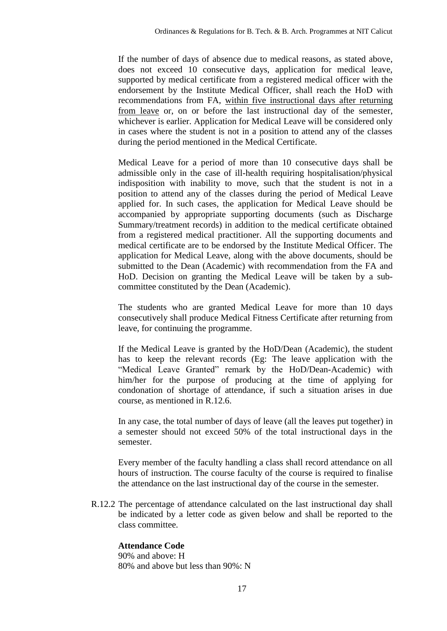If the number of days of absence due to medical reasons, as stated above, does not exceed 10 consecutive days, application for medical leave, supported by medical certificate from a registered medical officer with the endorsement by the Institute Medical Officer, shall reach the HoD with recommendations from FA, within five instructional days after returning from leave or, on or before the last instructional day of the semester, whichever is earlier. Application for Medical Leave will be considered only in cases where the student is not in a position to attend any of the classes during the period mentioned in the Medical Certificate.

Medical Leave for a period of more than 10 consecutive days shall be admissible only in the case of ill-health requiring hospitalisation/physical indisposition with inability to move, such that the student is not in a position to attend any of the classes during the period of Medical Leave applied for. In such cases, the application for Medical Leave should be accompanied by appropriate supporting documents (such as Discharge Summary/treatment records) in addition to the medical certificate obtained from a registered medical practitioner. All the supporting documents and medical certificate are to be endorsed by the Institute Medical Officer. The application for Medical Leave, along with the above documents, should be submitted to the Dean (Academic) with recommendation from the FA and HoD. Decision on granting the Medical Leave will be taken by a subcommittee constituted by the Dean (Academic).

The students who are granted Medical Leave for more than 10 days consecutively shall produce Medical Fitness Certificate after returning from leave, for continuing the programme.

If the Medical Leave is granted by the HoD/Dean (Academic), the student has to keep the relevant records (Eg: The leave application with the "Medical Leave Granted" remark by the HoD/Dean-Academic) with him/her for the purpose of producing at the time of applying for condonation of shortage of attendance, if such a situation arises in due course, as mentioned in R.12.6.

In any case, the total number of days of leave (all the leaves put together) in a semester should not exceed 50% of the total instructional days in the semester.

Every member of the faculty handling a class shall record attendance on all hours of instruction. The course faculty of the course is required to finalise the attendance on the last instructional day of the course in the semester.

R.12.2 The percentage of attendance calculated on the last instructional day shall be indicated by a letter code as given below and shall be reported to the class committee.

#### **Attendance Code**

90% and above: H 80% and above but less than 90%: N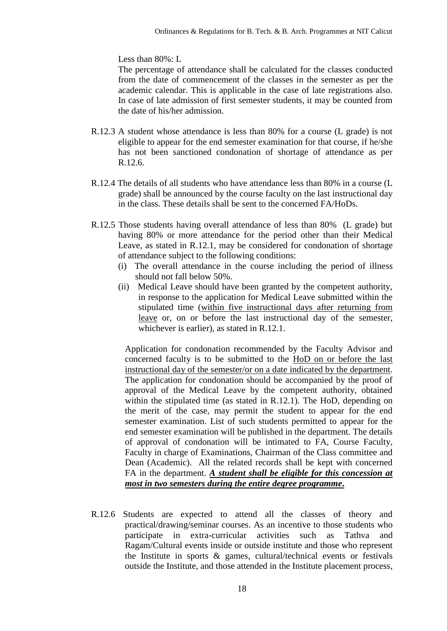Less than 80%: L

The percentage of attendance shall be calculated for the classes conducted from the date of commencement of the classes in the semester as per the academic calendar. This is applicable in the case of late registrations also. In case of late admission of first semester students, it may be counted from the date of his/her admission.

- R.12.3 A student whose attendance is less than 80% for a course (L grade) is not eligible to appear for the end semester examination for that course, if he/she has not been sanctioned condonation of shortage of attendance as per R.12.6.
- R.12.4 The details of all students who have attendance less than 80% in a course (L grade) shall be announced by the course faculty on the last instructional day in the class. These details shall be sent to the concerned FA/HoDs.
- R.12.5 Those students having overall attendance of less than 80% (L grade) but having 80% or more attendance for the period other than their Medical Leave, as stated in R.12.1, may be considered for condonation of shortage of attendance subject to the following conditions:
	- (i) The overall attendance in the course including the period of illness should not fall below 50%.
	- (ii) Medical Leave should have been granted by the competent authority, in response to the application for Medical Leave submitted within the stipulated time (within five instructional days after returning from leave or, on or before the last instructional day of the semester, whichever is earlier), as stated in R.12.1.

Application for condonation recommended by the Faculty Advisor and concerned faculty is to be submitted to the HoD on or before the last instructional day of the semester/or on a date indicated by the department. The application for condonation should be accompanied by the proof of approval of the Medical Leave by the competent authority, obtained within the stipulated time (as stated in R.12.1). The HoD, depending on the merit of the case, may permit the student to appear for the end semester examination. List of such students permitted to appear for the end semester examination will be published in the department. The details of approval of condonation will be intimated to FA, Course Faculty, Faculty in charge of Examinations, Chairman of the Class committee and Dean (Academic). All the related records shall be kept with concerned FA in the department. *A student shall be eligible for this concession at most in two semesters during the entire degree programme***.**

R.12.6 Students are expected to attend all the classes of theory and practical/drawing/seminar courses. As an incentive to those students who participate in extra-curricular activities such as Tathva and Ragam/Cultural events inside or outside institute and those who represent the Institute in sports  $\&$  games, cultural/technical events or festivals outside the Institute, and those attended in the Institute placement process,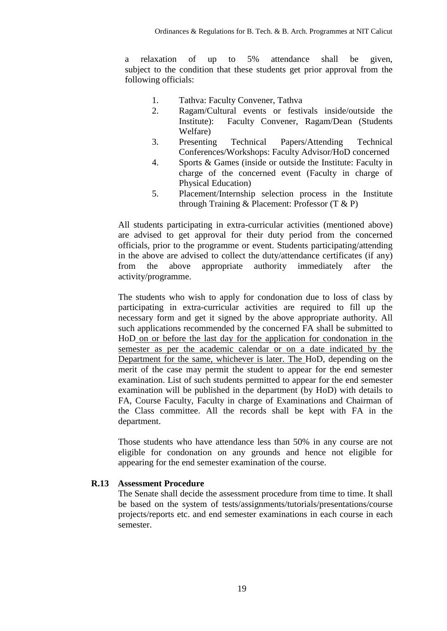a relaxation of up to 5% attendance shall be given, subject to the condition that these students get prior approval from the following officials:

- 1. Tathva: Faculty Convener, Tathva
- 2. Ragam/Cultural events or festivals inside/outside the Institute): Faculty Convener, Ragam/Dean (Students Welfare)
- 3. Presenting Technical Papers/Attending Technical Conferences/Workshops: Faculty Advisor/HoD concerned
- 4. Sports & Games (inside or outside the Institute: Faculty in charge of the concerned event (Faculty in charge of Physical Education)
- 5. Placement/Internship selection process in the Institute through Training & Placement: Professor (T & P)

All students participating in extra-curricular activities (mentioned above) are advised to get approval for their duty period from the concerned officials, prior to the programme or event. Students participating/attending in the above are advised to collect the duty/attendance certificates (if any) from the above appropriate authority immediately after the activity/programme.

The students who wish to apply for condonation due to loss of class by participating in extra-curricular activities are required to fill up the necessary form and get it signed by the above appropriate authority. All such applications recommended by the concerned FA shall be submitted to HoD on or before the last day for the application for condonation in the semester as per the academic calendar or on a date indicated by the Department for the same, whichever is later. The HoD, depending on the merit of the case may permit the student to appear for the end semester examination. List of such students permitted to appear for the end semester examination will be published in the department (by HoD) with details to FA, Course Faculty, Faculty in charge of Examinations and Chairman of the Class committee. All the records shall be kept with FA in the department.

Those students who have attendance less than 50% in any course are not eligible for condonation on any grounds and hence not eligible for appearing for the end semester examination of the course.

#### **R.13 Assessment Procedure**

The Senate shall decide the assessment procedure from time to time. It shall be based on the system of tests/assignments/tutorials/presentations/course projects/reports etc. and end semester examinations in each course in each semester.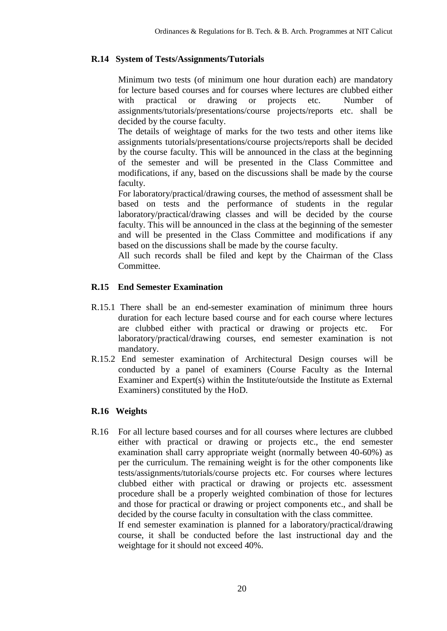#### **R.14 System of Tests/Assignments/Tutorials**

Minimum two tests (of minimum one hour duration each) are mandatory for lecture based courses and for courses where lectures are clubbed either with practical or drawing or projects etc. Number of assignments/tutorials/presentations/course projects/reports etc. shall be decided by the course faculty.

The details of weightage of marks for the two tests and other items like assignments tutorials/presentations/course projects/reports shall be decided by the course faculty. This will be announced in the class at the beginning of the semester and will be presented in the Class Committee and modifications, if any, based on the discussions shall be made by the course faculty.

For laboratory/practical/drawing courses, the method of assessment shall be based on tests and the performance of students in the regular laboratory/practical/drawing classes and will be decided by the course faculty. This will be announced in the class at the beginning of the semester and will be presented in the Class Committee and modifications if any based on the discussions shall be made by the course faculty.

All such records shall be filed and kept by the Chairman of the Class Committee.

#### **R.15 End Semester Examination**

- R.15.1 There shall be an end-semester examination of minimum three hours duration for each lecture based course and for each course where lectures are clubbed either with practical or drawing or projects etc. For laboratory/practical/drawing courses, end semester examination is not mandatory.
- R.15.2 End semester examination of Architectural Design courses will be conducted by a panel of examiners (Course Faculty as the Internal Examiner and Expert(s) within the Institute/outside the Institute as External Examiners) constituted by the HoD.

#### **R.16 Weights**

R.16 For all lecture based courses and for all courses where lectures are clubbed either with practical or drawing or projects etc., the end semester examination shall carry appropriate weight (normally between 40-60%) as per the curriculum. The remaining weight is for the other components like tests/assignments/tutorials/course projects etc. For courses where lectures clubbed either with practical or drawing or projects etc. assessment procedure shall be a properly weighted combination of those for lectures and those for practical or drawing or project components etc., and shall be decided by the course faculty in consultation with the class committee.

If end semester examination is planned for a laboratory/practical/drawing course, it shall be conducted before the last instructional day and the weightage for it should not exceed 40%.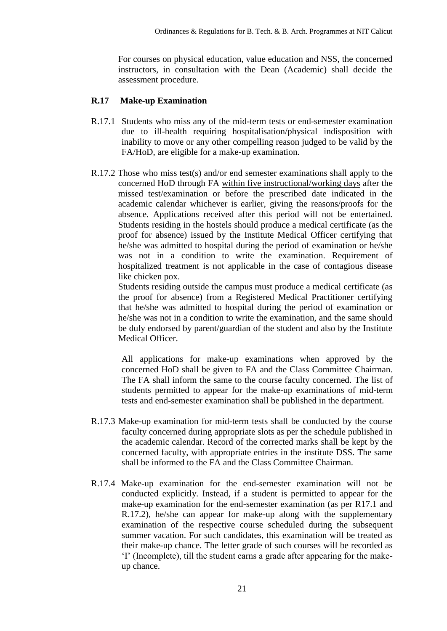For courses on physical education, value education and NSS, the concerned instructors, in consultation with the Dean (Academic) shall decide the assessment procedure.

#### **R.17 Make-up Examination**

- R.17.1 Students who miss any of the mid-term tests or end-semester examination due to ill-health requiring hospitalisation/physical indisposition with inability to move or any other compelling reason judged to be valid by the FA/HoD, are eligible for a make-up examination.
- R.17.2 Those who miss test(s) and/or end semester examinations shall apply to the concerned HoD through FA within five instructional/working days after the missed test/examination or before the prescribed date indicated in the academic calendar whichever is earlier, giving the reasons/proofs for the absence. Applications received after this period will not be entertained. Students residing in the hostels should produce a medical certificate (as the proof for absence) issued by the Institute Medical Officer certifying that he/she was admitted to hospital during the period of examination or he/she was not in a condition to write the examination. Requirement of hospitalized treatment is not applicable in the case of contagious disease like chicken pox.

Students residing outside the campus must produce a medical certificate (as the proof for absence) from a Registered Medical Practitioner certifying that he/she was admitted to hospital during the period of examination or he/she was not in a condition to write the examination, and the same should be duly endorsed by parent/guardian of the student and also by the Institute Medical Officer.

All applications for make-up examinations when approved by the concerned HoD shall be given to FA and the Class Committee Chairman. The FA shall inform the same to the course faculty concerned. The list of students permitted to appear for the make-up examinations of mid-term tests and end-semester examination shall be published in the department.

- R.17.3 Make-up examination for mid-term tests shall be conducted by the course faculty concerned during appropriate slots as per the schedule published in the academic calendar. Record of the corrected marks shall be kept by the concerned faculty, with appropriate entries in the institute DSS. The same shall be informed to the FA and the Class Committee Chairman.
- R.17.4 Make-up examination for the end-semester examination will not be conducted explicitly. Instead, if a student is permitted to appear for the make-up examination for the end-semester examination (as per R17.1 and R.17.2), he/she can appear for make-up along with the supplementary examination of the respective course scheduled during the subsequent summer vacation. For such candidates, this examination will be treated as their make-up chance. The letter grade of such courses will be recorded as "I" (Incomplete), till the student earns a grade after appearing for the makeup chance.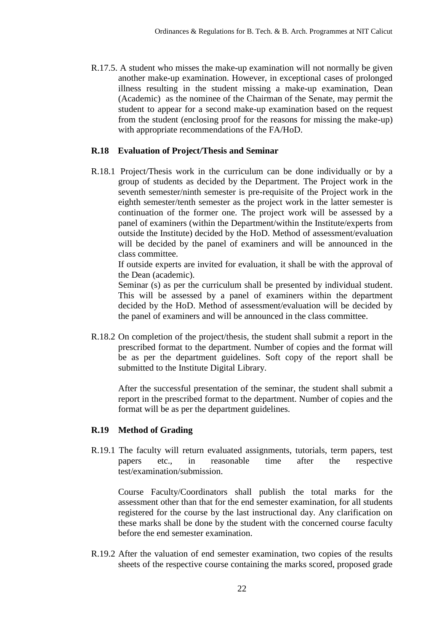R.17.5. A student who misses the make-up examination will not normally be given another make-up examination. However, in exceptional cases of prolonged illness resulting in the student missing a make-up examination, Dean (Academic) as the nominee of the Chairman of the Senate, may permit the student to appear for a second make-up examination based on the request from the student (enclosing proof for the reasons for missing the make-up) with appropriate recommendations of the FA/HoD.

#### **R.18 Evaluation of Project/Thesis and Seminar**

R.18.1 Project/Thesis work in the curriculum can be done individually or by a group of students as decided by the Department. The Project work in the seventh semester/ninth semester is pre-requisite of the Project work in the eighth semester/tenth semester as the project work in the latter semester is continuation of the former one. The project work will be assessed by a panel of examiners (within the Department/within the Institute/experts from outside the Institute) decided by the HoD. Method of assessment/evaluation will be decided by the panel of examiners and will be announced in the class committee.

If outside experts are invited for evaluation, it shall be with the approval of the Dean (academic).

Seminar (s) as per the curriculum shall be presented by individual student. This will be assessed by a panel of examiners within the department decided by the HoD. Method of assessment/evaluation will be decided by the panel of examiners and will be announced in the class committee.

R.18.2 On completion of the project/thesis, the student shall submit a report in the prescribed format to the department. Number of copies and the format will be as per the department guidelines. Soft copy of the report shall be submitted to the Institute Digital Library.

After the successful presentation of the seminar, the student shall submit a report in the prescribed format to the department. Number of copies and the format will be as per the department guidelines.

#### **R.19 Method of Grading**

R.19.1 The faculty will return evaluated assignments, tutorials, term papers, test papers etc., in reasonable time after the respective test/examination/submission.

Course Faculty/Coordinators shall publish the total marks for the assessment other than that for the end semester examination, for all students registered for the course by the last instructional day. Any clarification on these marks shall be done by the student with the concerned course faculty before the end semester examination.

R.19.2 After the valuation of end semester examination, two copies of the results sheets of the respective course containing the marks scored, proposed grade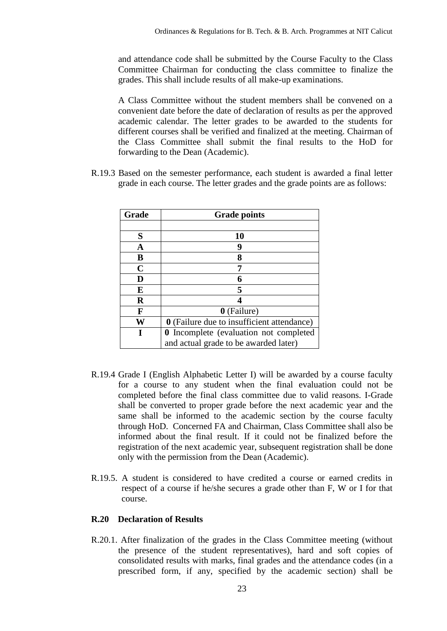and attendance code shall be submitted by the Course Faculty to the Class Committee Chairman for conducting the class committee to finalize the grades. This shall include results of all make-up examinations.

A Class Committee without the student members shall be convened on a convenient date before the date of declaration of results as per the approved academic calendar. The letter grades to be awarded to the students for different courses shall be verified and finalized at the meeting. Chairman of the Class Committee shall submit the final results to the HoD for forwarding to the Dean (Academic).

R.19.3 Based on the semester performance, each student is awarded a final letter grade in each course. The letter grades and the grade points are as follows:

| Grade | <b>Grade points</b>                               |
|-------|---------------------------------------------------|
|       |                                                   |
| S     | 10                                                |
| A     | 9                                                 |
| B     | 8                                                 |
| C     |                                                   |
| D     |                                                   |
| E     | 5                                                 |
| R     |                                                   |
| F     | 0 (Failure)                                       |
| W     | <b>0</b> (Failure due to insufficient attendance) |
|       | <b>0</b> Incomplete (evaluation not completed     |
|       | and actual grade to be awarded later)             |

- R.19.4 Grade I (English Alphabetic Letter I) will be awarded by a course faculty for a course to any student when the final evaluation could not be completed before the final class committee due to valid reasons. I-Grade shall be converted to proper grade before the next academic year and the same shall be informed to the academic section by the course faculty through HoD. Concerned FA and Chairman, Class Committee shall also be informed about the final result. If it could not be finalized before the registration of the next academic year, subsequent registration shall be done only with the permission from the Dean (Academic).
- R.19.5. A student is considered to have credited a course or earned credits in respect of a course if he/she secures a grade other than F, W or I for that course.

#### **R.20 Declaration of Results**

R.20.1. After finalization of the grades in the Class Committee meeting (without the presence of the student representatives), hard and soft copies of consolidated results with marks, final grades and the attendance codes (in a prescribed form, if any, specified by the academic section) shall be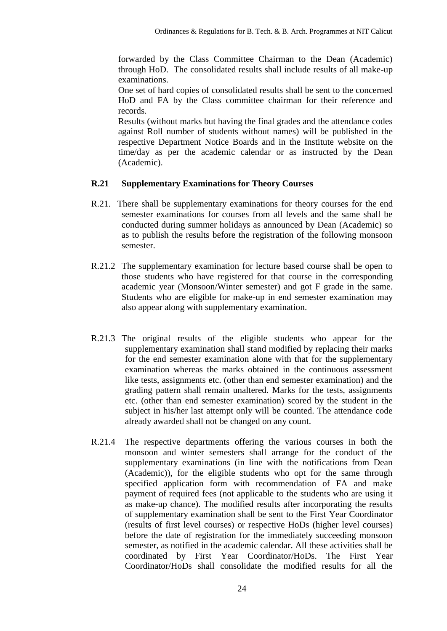forwarded by the Class Committee Chairman to the Dean (Academic) through HoD. The consolidated results shall include results of all make-up examinations.

One set of hard copies of consolidated results shall be sent to the concerned HoD and FA by the Class committee chairman for their reference and records.

Results (without marks but having the final grades and the attendance codes against Roll number of students without names) will be published in the respective Department Notice Boards and in the Institute website on the time/day as per the academic calendar or as instructed by the Dean (Academic).

#### **R.21 Supplementary Examinations for Theory Courses**

- R.21. There shall be supplementary examinations for theory courses for the end semester examinations for courses from all levels and the same shall be conducted during summer holidays as announced by Dean (Academic) so as to publish the results before the registration of the following monsoon semester.
- R.21.2 The supplementary examination for lecture based course shall be open to those students who have registered for that course in the corresponding academic year (Monsoon/Winter semester) and got F grade in the same. Students who are eligible for make-up in end semester examination may also appear along with supplementary examination.
- R.21.3 The original results of the eligible students who appear for the supplementary examination shall stand modified by replacing their marks for the end semester examination alone with that for the supplementary examination whereas the marks obtained in the continuous assessment like tests, assignments etc. (other than end semester examination) and the grading pattern shall remain unaltered. Marks for the tests, assignments etc. (other than end semester examination) scored by the student in the subject in his/her last attempt only will be counted. The attendance code already awarded shall not be changed on any count.
- R.21.4 The respective departments offering the various courses in both the monsoon and winter semesters shall arrange for the conduct of the supplementary examinations (in line with the notifications from Dean (Academic)), for the eligible students who opt for the same through specified application form with recommendation of FA and make payment of required fees (not applicable to the students who are using it as make-up chance). The modified results after incorporating the results of supplementary examination shall be sent to the First Year Coordinator (results of first level courses) or respective HoDs (higher level courses) before the date of registration for the immediately succeeding monsoon semester, as notified in the academic calendar. All these activities shall be coordinated by First Year Coordinator/HoDs. The First Year Coordinator/HoDs shall consolidate the modified results for all the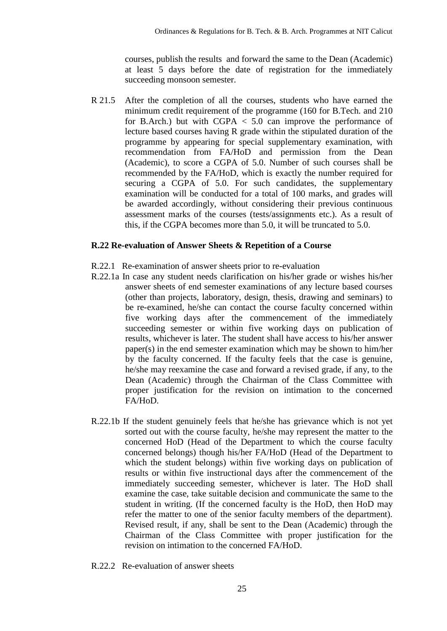courses, publish the results and forward the same to the Dean (Academic) at least 5 days before the date of registration for the immediately succeeding monsoon semester.

R 21.5 After the completion of all the courses, students who have earned the minimum credit requirement of the programme (160 for B.Tech. and 210 for B.Arch.) but with  $CGPA < 5.0$  can improve the performance of lecture based courses having R grade within the stipulated duration of the programme by appearing for special supplementary examination, with recommendation from FA/HoD and permission from the Dean (Academic), to score a CGPA of 5.0. Number of such courses shall be recommended by the FA/HoD, which is exactly the number required for securing a CGPA of 5.0. For such candidates, the supplementary examination will be conducted for a total of 100 marks, and grades will be awarded accordingly, without considering their previous continuous assessment marks of the courses (tests/assignments etc.). As a result of this, if the CGPA becomes more than 5.0, it will be truncated to 5.0.

#### **R.22 Re-evaluation of Answer Sheets & Repetition of a Course**

- R.22.1 Re-examination of answer sheets prior to re-evaluation
- R.22.1a In case any student needs clarification on his/her grade or wishes his/her answer sheets of end semester examinations of any lecture based courses (other than projects, laboratory, design, thesis, drawing and seminars) to be re-examined, he/she can contact the course faculty concerned within five working days after the commencement of the immediately succeeding semester or within five working days on publication of results, whichever is later. The student shall have access to his/her answer paper(s) in the end semester examination which may be shown to him/her by the faculty concerned. If the faculty feels that the case is genuine, he/she may reexamine the case and forward a revised grade, if any, to the Dean (Academic) through the Chairman of the Class Committee with proper justification for the revision on intimation to the concerned FA/HoD.
- R.22.1b If the student genuinely feels that he/she has grievance which is not yet sorted out with the course faculty, he/she may represent the matter to the concerned HoD (Head of the Department to which the course faculty concerned belongs) though his/her FA/HoD (Head of the Department to which the student belongs) within five working days on publication of results or within five instructional days after the commencement of the immediately succeeding semester, whichever is later. The HoD shall examine the case, take suitable decision and communicate the same to the student in writing. (If the concerned faculty is the HoD, then HoD may refer the matter to one of the senior faculty members of the department). Revised result, if any, shall be sent to the Dean (Academic) through the Chairman of the Class Committee with proper justification for the revision on intimation to the concerned FA/HoD.
- R.22.2 Re-evaluation of answer sheets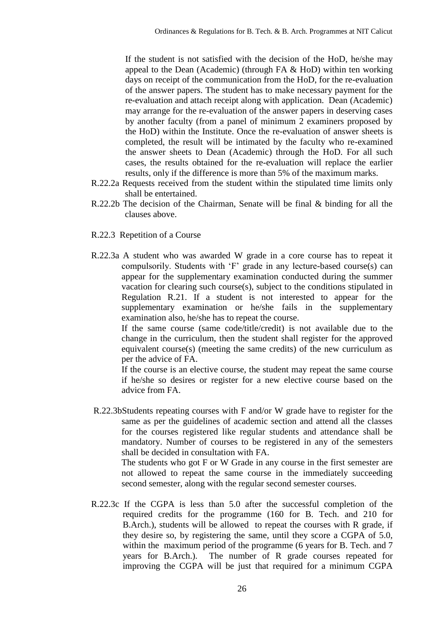If the student is not satisfied with the decision of the HoD, he/she may appeal to the Dean (Academic) (through FA & HoD) within ten working days on receipt of the communication from the HoD, for the re-evaluation of the answer papers. The student has to make necessary payment for the re-evaluation and attach receipt along with application. Dean (Academic) may arrange for the re-evaluation of the answer papers in deserving cases by another faculty (from a panel of minimum 2 examiners proposed by the HoD) within the Institute. Once the re-evaluation of answer sheets is completed, the result will be intimated by the faculty who re-examined the answer sheets to Dean (Academic) through the HoD. For all such cases, the results obtained for the re-evaluation will replace the earlier results, only if the difference is more than 5% of the maximum marks.

- R.22.2a Requests received from the student within the stipulated time limits only shall be entertained.
- R.22.2b The decision of the Chairman, Senate will be final & binding for all the clauses above.
- R.22.3 Repetition of a Course
- R.22.3a A student who was awarded W grade in a core course has to repeat it compulsorily. Students with "F" grade in any lecture-based course(s) can appear for the supplementary examination conducted during the summer vacation for clearing such course(s), subject to the conditions stipulated in Regulation R.21. If a student is not interested to appear for the supplementary examination or he/she fails in the supplementary examination also, he/she has to repeat the course.

If the same course (same code/title/credit) is not available due to the change in the curriculum, then the student shall register for the approved equivalent course(s) (meeting the same credits) of the new curriculum as per the advice of FA.

If the course is an elective course, the student may repeat the same course if he/she so desires or register for a new elective course based on the advice from FA.

R.22.3bStudents repeating courses with F and/or W grade have to register for the same as per the guidelines of academic section and attend all the classes for the courses registered like regular students and attendance shall be mandatory. Number of courses to be registered in any of the semesters shall be decided in consultation with FA.

The students who got F or W Grade in any course in the first semester are not allowed to repeat the same course in the immediately succeeding second semester, along with the regular second semester courses.

R.22.3c If the CGPA is less than 5.0 after the successful completion of the required credits for the programme (160 for B. Tech. and 210 for B.Arch.), students will be allowed to repeat the courses with R grade, if they desire so, by registering the same, until they score a CGPA of 5.0, within the maximum period of the programme (6 years for B. Tech. and 7 years for B.Arch.). The number of R grade courses repeated for improving the CGPA will be just that required for a minimum CGPA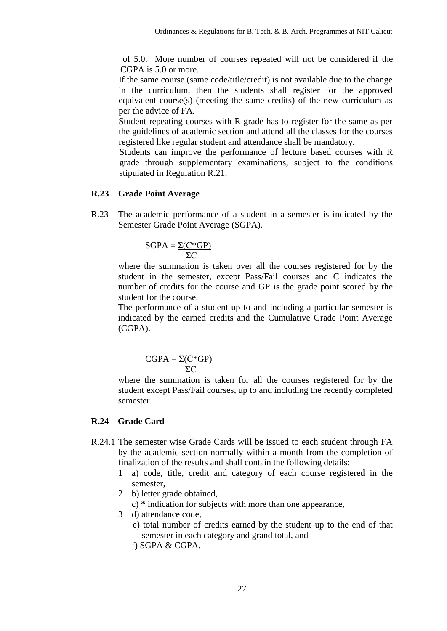of 5.0. More number of courses repeated will not be considered if the CGPA is 5.0 or more.

If the same course (same code/title/credit) is not available due to the change in the curriculum, then the students shall register for the approved equivalent course(s) (meeting the same credits) of the new curriculum as per the advice of FA.

Student repeating courses with R grade has to register for the same as per the guidelines of academic section and attend all the classes for the courses registered like regular student and attendance shall be mandatory.

Students can improve the performance of lecture based courses with R grade through supplementary examinations, subject to the conditions stipulated in Regulation R.21.

#### **R.23 Grade Point Average**

R.23 The academic performance of a student in a semester is indicated by the Semester Grade Point Average (SGPA).

$$
SGPA = \frac{\Sigma(C*GP)}{\Sigma C}
$$

where the summation is taken over all the courses registered for by the student in the semester, except Pass/Fail courses and C indicates the number of credits for the course and GP is the grade point scored by the student for the course.

The performance of a student up to and including a particular semester is indicated by the earned credits and the Cumulative Grade Point Average (CGPA).

$$
CGPA = \frac{\Sigma (C^*GP)}{\Sigma C}
$$

where the summation is taken for all the courses registered for by the student except Pass/Fail courses, up to and including the recently completed semester.

#### **R.24 Grade Card**

- R.24.1 The semester wise Grade Cards will be issued to each student through FA by the academic section normally within a month from the completion of finalization of the results and shall contain the following details:
	- 1 a) code, title, credit and category of each course registered in the semester,
	- 2 b) letter grade obtained,
		- c) \* indication for subjects with more than one appearance,
	- 3 d) attendance code,
		- e) total number of credits earned by the student up to the end of that semester in each category and grand total, and
		- f) SGPA & CGPA.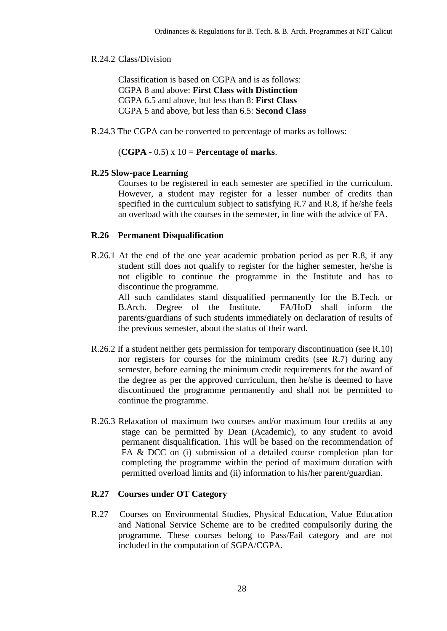#### R.24.2 Class/Division

Classification is based on CGPA and is as follows: CGPA 8 and above: **First Class with Distinction**  CGPA 6.5 and above, but less than 8: **First Class**  CGPA 5 and above, but less than 6.5: **Second Class**

R.24.3 The CGPA can be converted to percentage of marks as follows:

(**CGPA -** 0.5) x 10 = **Percentage of marks**.

#### **R.25 Slow-pace Learning**

 Courses to be registered in each semester are specified in the curriculum. However, a student may register for a lesser number of credits than specified in the curriculum subject to satisfying R.7 and R.8, if he/she feels an overload with the courses in the semester, in line with the advice of FA.

#### **R.26 Permanent Disqualification**

R.26.1 At the end of the one year academic probation period as per R.8, if any student still does not qualify to register for the higher semester, he/she is not eligible to continue the programme in the Institute and has to discontinue the programme.

All such candidates stand disqualified permanently for the B.Tech. or B.Arch. Degree of the Institute. FA/HoD shall inform the parents/guardians of such students immediately on declaration of results of the previous semester, about the status of their ward.

- R.26.2 If a student neither gets permission for temporary discontinuation (see R.10) nor registers for courses for the minimum credits (see R.7) during any semester, before earning the minimum credit requirements for the award of the degree as per the approved curriculum, then he/she is deemed to have discontinued the programme permanently and shall not be permitted to continue the programme.
- R.26.3 Relaxation of maximum two courses and/or maximum four credits at any stage can be permitted by Dean (Academic), to any student to avoid permanent disqualification. This will be based on the recommendation of FA & DCC on (i) submission of a detailed course completion plan for completing the programme within the period of maximum duration with permitted overload limits and (ii) information to his/her parent/guardian.

#### **R.27 Courses under OT Category**

R.27 Courses on Environmental Studies, Physical Education, Value Education and National Service Scheme are to be credited compulsorily during the programme. These courses belong to Pass/Fail category and are not included in the computation of SGPA/CGPA.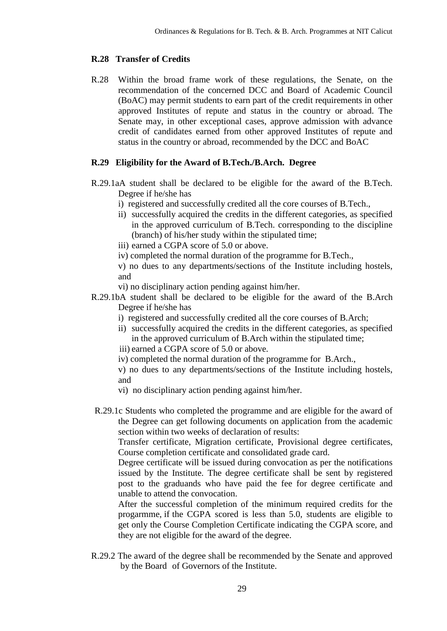#### **R.28 Transfer of Credits**

R.28 Within the broad frame work of these regulations, the Senate, on the recommendation of the concerned DCC and Board of Academic Council (BoAC) may permit students to earn part of the credit requirements in other approved Institutes of repute and status in the country or abroad. The Senate may, in other exceptional cases, approve admission with advance credit of candidates earned from other approved Institutes of repute and status in the country or abroad, recommended by the DCC and BoAC

## **R.29 Eligibility for the Award of B.Tech./B.Arch. Degree**

- R.29.1aA student shall be declared to be eligible for the award of the B.Tech. Degree if he/she has
	- i) registered and successfully credited all the core courses of B.Tech.,
	- ii) successfully acquired the credits in the different categories, as specified in the approved curriculum of B.Tech. corresponding to the discipline (branch) of his/her study within the stipulated time;
	- iii) earned a CGPA score of 5.0 or above.
	- iv) completed the normal duration of the programme for B.Tech.,
	- v) no dues to any departments/sections of the Institute including hostels, and
	- vi) no disciplinary action pending against him/her.
- R.29.1bA student shall be declared to be eligible for the award of the B.Arch Degree if he/she has
	- i) registered and successfully credited all the core courses of B.Arch;
	- ii) successfully acquired the credits in the different categories, as specified in the approved curriculum of B.Arch within the stipulated time;
	- iii) earned a CGPA score of 5.0 or above.
	- iv) completed the normal duration of the programme for B.Arch.,
	- v) no dues to any departments/sections of the Institute including hostels, and
	- vi) no disciplinary action pending against him/her.
- R.29.1c Students who completed the programme and are eligible for the award of the Degree can get following documents on application from the academic section within two weeks of declaration of results:

Transfer certificate, Migration certificate, Provisional degree certificates, Course completion certificate and consolidated grade card.

Degree certificate will be issued during convocation as per the notifications issued by the Institute. The degree certificate shall be sent by registered post to the graduands who have paid the fee for degree certificate and unable to attend the convocation.

After the successful completion of the minimum required credits for the progarmme, if the CGPA scored is less than 5.0, students are eligible to get only the Course Completion Certificate indicating the CGPA score, and they are not eligible for the award of the degree.

R.29.2 The award of the degree shall be recommended by the Senate and approved by the Board of Governors of the Institute.